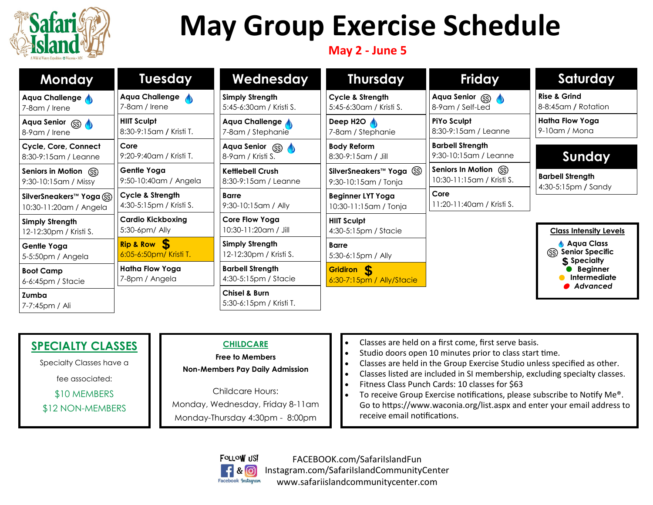

# **May Group Exercise Schedule**

## **May 2 - June 5**

| <b>Monday</b>                                       | <b>Tuesday</b>                                | Wednesday                                           | <b>Thursday</b>                                               | <b>Friday</b>                                       | Saturday                                                                                        |
|-----------------------------------------------------|-----------------------------------------------|-----------------------------------------------------|---------------------------------------------------------------|-----------------------------------------------------|-------------------------------------------------------------------------------------------------|
| Aqua Challenge<br>7-8am / Irene                     | Aqua Challenge<br>7-8am / Irene               | <b>Simply Strength</b><br>5:45-6:30am / Kristi S.   | Cycle & Strength<br>5:45-6:30am / Kristi S.                   | Aqua Senior (SS)<br>8-9am / Self-Led                | <b>Rise &amp; Grind</b><br>8-8:45am / Rotation                                                  |
| Aqua Senior (SS)<br>8-9 am / Irene                  | <b>HIIT Sculpt</b><br>8:30-9:15am / Kristi T. | Aqua Challenge<br>7-8am / Stephanie                 | Deep H2O<br>7-8am / Stephanie                                 | <b>PiYo Sculpt</b><br>8:30-9:15am / Leanne          | Hatha Flow Yoga<br>$9-10$ am / Mona                                                             |
| Cycle, Core, Connect<br>8:30-9:15am / Leanne        | Core<br>9:20-9:40am / Kristi T.               | Aqua Senior (SS)<br>8-9 am / Kristi S.              | <b>Body Reform</b><br>8:30-9:15am / Jill                      | <b>Barbell Strength</b><br>9:30-10:15am / Leanne    | Sunday                                                                                          |
| Seniors in Motion (SS)<br>9:30-10:15am / Missy      | Gentle Yoga<br>9:50-10:40am / Angela          | <b>Kettlebell Crush</b><br>8:30-9:15am / Leanne     | SilverSneakers <sup>™</sup> Yoga (SS)<br>9:30-10:15am / Tonja | Seniors In Motion (SS)<br>10:30-11:15am / Kristi S. | <b>Barbell Strength</b><br>4:30-5:15pm / Sandy                                                  |
| SilverSneakers™ Yoga (SS)<br>10:30-11:20am / Angela | Cycle & Strength<br>4:30-5:15pm / Kristi S.   | <b>Barre</b><br>9:30-10:15am / Ally                 | <b>Beginner LYT Yoga</b><br>10:30-11:15am / Tonja             | Core<br>11:20-11:40am / Kristi S.                   |                                                                                                 |
| <b>Simply Strength</b><br>12-12:30pm / Kristi S.    | <b>Cardio Kickboxing</b><br>$5:30-6$ pm/ Ally | Core Flow Yoga<br>10:30-11:20am / Jill              | <b>HIIT Sculpt</b><br>4:30-5:15pm / Stacie                    |                                                     | <b>Class Intensity Levels</b>                                                                   |
| Gentle Yoga<br>5-5:50pm / Angela                    | Rip & Row 5<br>6:05-6:50pm/ Kristi T.         | Simply Strength<br>12-12:30pm / Kristi S.           | <b>Barre</b><br>5:30-6:15pm / Ally                            |                                                     | Aqua Class<br><b>Senior Specific</b><br>(SS)<br>\$ Specialty<br><b>Beginner</b><br>Intermediate |
| <b>Boot Camp</b><br>6-6:45pm / Stacie               | Hatha Flow Yoga<br>7-8pm / Angela             | <b>Barbell Strength</b><br>4:30-5:15pm / Stacie     | <b>Gridiron S</b><br>6:30-7:15pm / Ally/Stacie                |                                                     |                                                                                                 |
| Zumba<br>7-7:45pm / Ali                             |                                               | <b>Chisel &amp; Burn</b><br>5:30-6:15pm / Kristi T. |                                                               |                                                     | Advanced                                                                                        |

# **SPECIALTY CLASSES**

Specialty Classes have a

fee associated:

\$10 MEMBERS

\$12 NON-MEMBERS

## **CHILDCARE**

**Free to Members Non-Members Pay Daily Admission**

Childcare Hours: Monday, Wednesday, Friday 8-11am Monday-Thursday 4:30pm - 8:00pm

- Classes are held on a first come, first serve basis.
- Studio doors open 10 minutes prior to class start time.
- Classes are held in the Group Exercise Studio unless specified as other.<br>• Classes listed are included in SI membership, excluding specialty classes
- Classes listed are included in SI membership, excluding specialty classes.
- Fitness Class Punch Cards: 10 classes for \$63
- To receive Group Exercise notifications, please subscribe to Notify Me®. Go to https://www.waconia.org/list.aspx and enter your email address to receive email notifications.



FACEBOOK.com/SafariIslandFun Instagram.com/SafariIslandCommunityCenter www.safariislandcommunitycenter.com